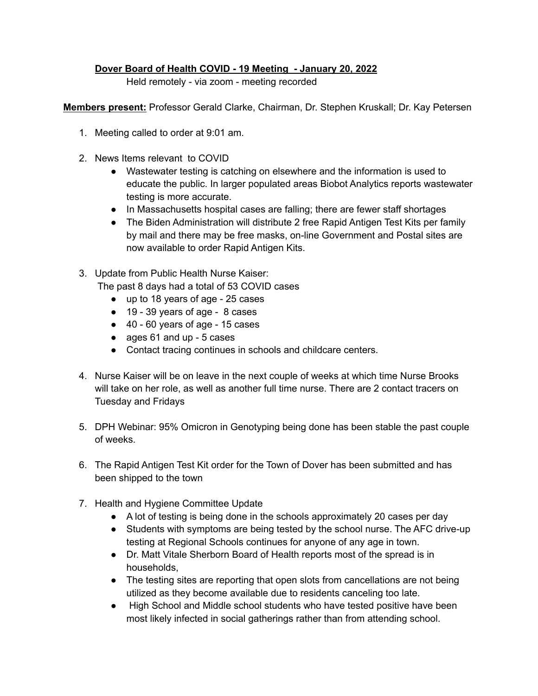## **Dover Board of Health COVID - 19 Meeting - January 20, 2022**

Held remotely - via zoom - meeting recorded

**Members present:** Professor Gerald Clarke, Chairman, Dr. Stephen Kruskall; Dr. Kay Petersen

- 1. Meeting called to order at 9:01 am.
- 2. News Items relevant to COVID
	- Wastewater testing is catching on elsewhere and the information is used to educate the public. In larger populated areas Biobot Analytics reports wastewater testing is more accurate.
	- In Massachusetts hospital cases are falling; there are fewer staff shortages
	- The Biden Administration will distribute 2 free Rapid Antigen Test Kits per family by mail and there may be free masks, on-line Government and Postal sites are now available to order Rapid Antigen Kits.
- 3. Update from Public Health Nurse Kaiser: The past 8 days had a total of 53 COVID cases
	- up to 18 years of age 25 cases
	- 19 39 years of age 8 cases
	- 40 60 years of age 15 cases
	- ages 61 and up 5 cases
	- Contact tracing continues in schools and childcare centers.
- 4. Nurse Kaiser will be on leave in the next couple of weeks at which time Nurse Brooks will take on her role, as well as another full time nurse. There are 2 contact tracers on Tuesday and Fridays
- 5. DPH Webinar: 95% Omicron in Genotyping being done has been stable the past couple of weeks.
- 6. The Rapid Antigen Test Kit order for the Town of Dover has been submitted and has been shipped to the town
- 7. Health and Hygiene Committee Update
	- A lot of testing is being done in the schools approximately 20 cases per day
	- Students with symptoms are being tested by the school nurse. The AFC drive-up testing at Regional Schools continues for anyone of any age in town.
	- Dr. Matt Vitale Sherborn Board of Health reports most of the spread is in households,
	- The testing sites are reporting that open slots from cancellations are not being utilized as they become available due to residents canceling too late.
	- High School and Middle school students who have tested positive have been most likely infected in social gatherings rather than from attending school.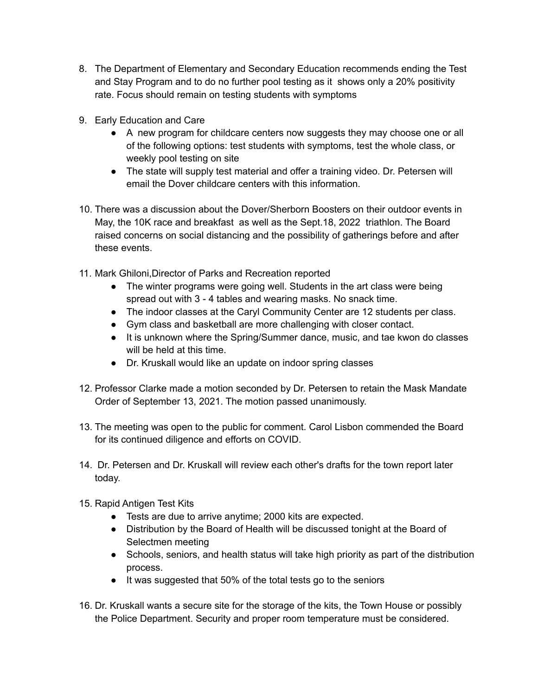- 8. The Department of Elementary and Secondary Education recommends ending the Test and Stay Program and to do no further pool testing as it shows only a 20% positivity rate. Focus should remain on testing students with symptoms
- 9. Early Education and Care
	- A new program for childcare centers now suggests they may choose one or all of the following options: test students with symptoms, test the whole class, or weekly pool testing on site
	- The state will supply test material and offer a training video. Dr. Petersen will email the Dover childcare centers with this information.
- 10. There was a discussion about the Dover/Sherborn Boosters on their outdoor events in May, the 10K race and breakfast as well as the Sept.18, 2022 triathlon. The Board raised concerns on social distancing and the possibility of gatherings before and after these events.
- 11. Mark Ghiloni,Director of Parks and Recreation reported
	- The winter programs were going well. Students in the art class were being spread out with 3 - 4 tables and wearing masks. No snack time.
	- The indoor classes at the Caryl Community Center are 12 students per class.
	- Gym class and basketball are more challenging with closer contact.
	- It is unknown where the Spring/Summer dance, music, and tae kwon do classes will be held at this time.
	- Dr. Kruskall would like an update on indoor spring classes
- 12. Professor Clarke made a motion seconded by Dr. Petersen to retain the Mask Mandate Order of September 13, 2021. The motion passed unanimously.
- 13. The meeting was open to the public for comment. Carol Lisbon commended the Board for its continued diligence and efforts on COVID.
- 14. Dr. Petersen and Dr. Kruskall will review each other's drafts for the town report later today.
- 15. Rapid Antigen Test Kits
	- Tests are due to arrive anytime; 2000 kits are expected.
	- Distribution by the Board of Health will be discussed tonight at the Board of Selectmen meeting
	- Schools, seniors, and health status will take high priority as part of the distribution process.
	- It was suggested that 50% of the total tests go to the seniors
- 16. Dr. Kruskall wants a secure site for the storage of the kits, the Town House or possibly the Police Department. Security and proper room temperature must be considered.